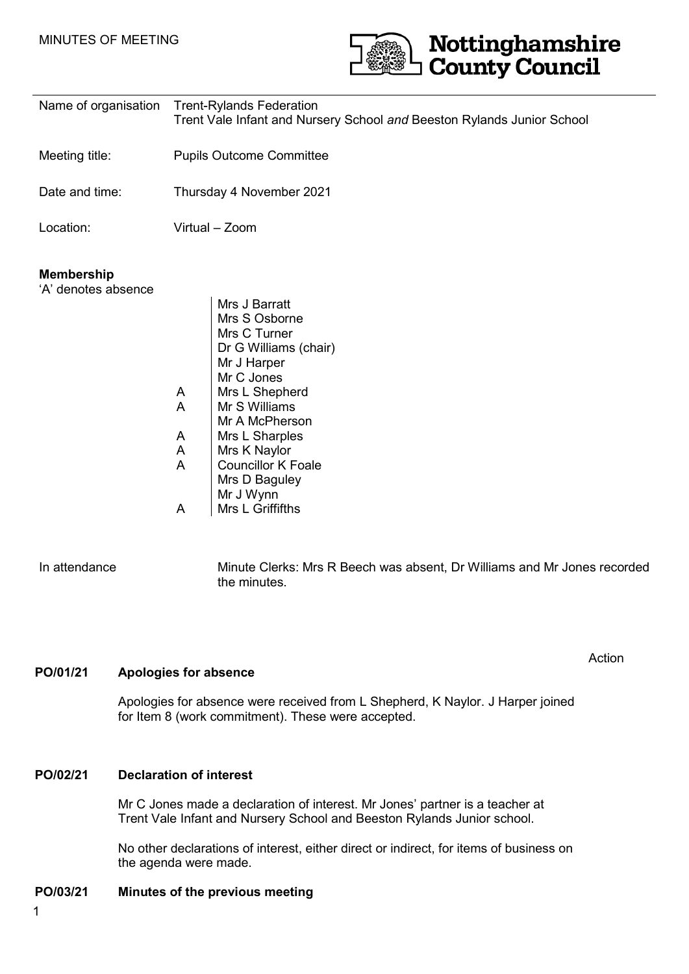

| Name of organisation                     | <b>Trent-Rylands Federation</b><br>Trent Vale Infant and Nursery School and Beeston Rylands Junior School                                                                                                                                                                                                |
|------------------------------------------|----------------------------------------------------------------------------------------------------------------------------------------------------------------------------------------------------------------------------------------------------------------------------------------------------------|
| Meeting title:                           | <b>Pupils Outcome Committee</b>                                                                                                                                                                                                                                                                          |
| Date and time:                           | Thursday 4 November 2021                                                                                                                                                                                                                                                                                 |
| Location:                                | Virtual - Zoom                                                                                                                                                                                                                                                                                           |
| <b>Membership</b><br>'A' denotes absence | Mrs J Barratt<br>Mrs S Osborne<br>Mrs C Turner<br>Dr G Williams (chair)<br>Mr J Harper<br>Mr C Jones<br>Mrs L Shepherd<br>A<br>A<br>Mr S Williams<br>Mr A McPherson<br>Mrs L Sharples<br>A<br>A<br>Mrs K Naylor<br>A<br><b>Councillor K Foale</b><br>Mrs D Baguley<br>Mr J Wynn<br>Mrs L Griffifths<br>A |

In attendance Minute Clerks: Mrs R Beech was absent, Dr Williams and Mr Jones recorded the minutes.

Action

**PO/01/21 Apologies for absence** 

Apologies for absence were received from L Shepherd, K Naylor. J Harper joined for Item 8 (work commitment). These were accepted.

### **PO/02/21 Declaration of interest**

Mr C Jones made a declaration of interest. Mr Jones' partner is a teacher at Trent Vale Infant and Nursery School and Beeston Rylands Junior school.

No other declarations of interest, either direct or indirect, for items of business on the agenda were made.

### **PO/03/21 Minutes of the previous meeting**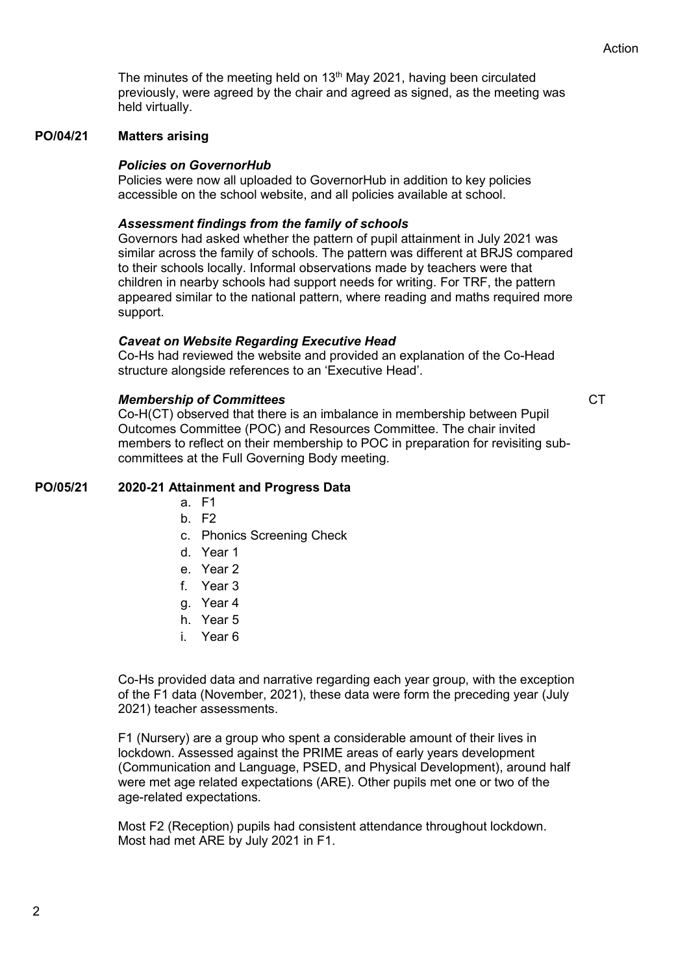The minutes of the meeting held on  $13<sup>th</sup>$  May 2021, having been circulated previously, were agreed by the chair and agreed as signed, as the meeting was held virtually.

#### **PO/04/21 Matters arising**

### *Policies on GovernorHub*

Policies were now all uploaded to GovernorHub in addition to key policies accessible on the school website, and all policies available at school.

### *Assessment findings from the family of schools*

Governors had asked whether the pattern of pupil attainment in July 2021 was similar across the family of schools. The pattern was different at BRJS compared to their schools locally. Informal observations made by teachers were that children in nearby schools had support needs for writing. For TRF, the pattern appeared similar to the national pattern, where reading and maths required more support.

### *Caveat on Website Regarding Executive Head*

Co-Hs had reviewed the website and provided an explanation of the Co-Head structure alongside references to an 'Executive Head'.

### *Membership of Committees*

**CT** 

Co-H(CT) observed that there is an imbalance in membership between Pupil Outcomes Committee (POC) and Resources Committee. The chair invited members to reflect on their membership to POC in preparation for revisiting subcommittees at the Full Governing Body meeting.

### **PO/05/21 2020-21 Attainment and Progress Data**

- a. F1
- b. F2
- c. Phonics Screening Check
- d. Year 1
- e. Year 2
- f. Year 3
- g. Year 4
- h. Year 5
- i. Year 6

Co-Hs provided data and narrative regarding each year group, with the exception of the F1 data (November, 2021), these data were form the preceding year (July 2021) teacher assessments.

F1 (Nursery) are a group who spent a considerable amount of their lives in lockdown. Assessed against the PRIME areas of early years development (Communication and Language, PSED, and Physical Development), around half were met age related expectations (ARE). Other pupils met one or two of the age-related expectations.

Most F2 (Reception) pupils had consistent attendance throughout lockdown. Most had met ARE by July 2021 in F1.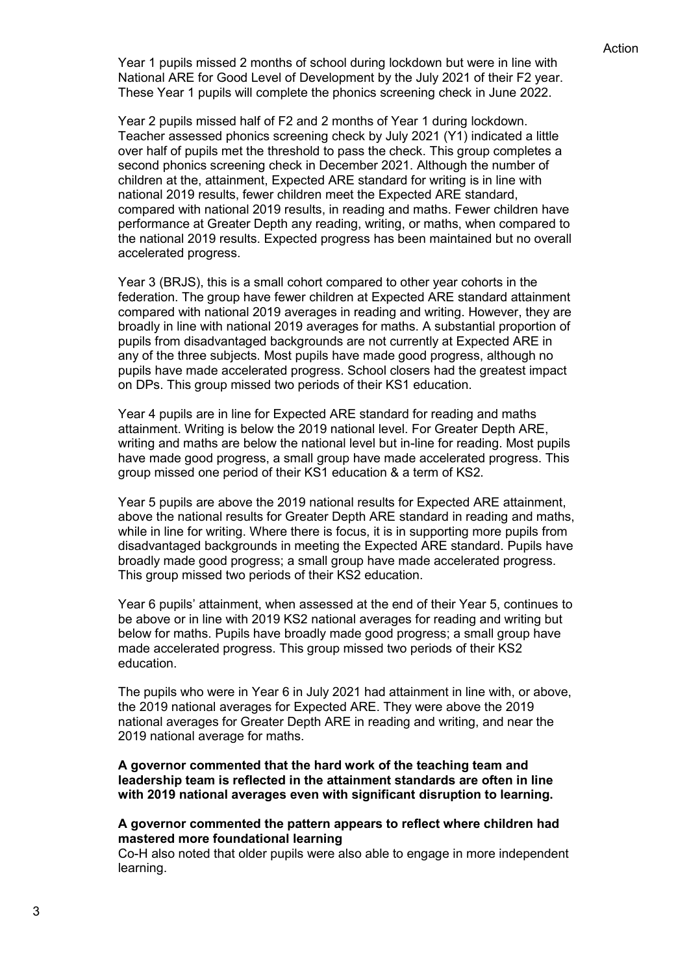Year 1 pupils missed 2 months of school during lockdown but were in line with National ARE for Good Level of Development by the July 2021 of their F2 year. These Year 1 pupils will complete the phonics screening check in June 2022.

Year 2 pupils missed half of F2 and 2 months of Year 1 during lockdown. Teacher assessed phonics screening check by July 2021 (Y1) indicated a little over half of pupils met the threshold to pass the check. This group completes a second phonics screening check in December 2021. Although the number of children at the, attainment, Expected ARE standard for writing is in line with national 2019 results, fewer children meet the Expected ARE standard, compared with national 2019 results, in reading and maths. Fewer children have performance at Greater Depth any reading, writing, or maths, when compared to the national 2019 results. Expected progress has been maintained but no overall accelerated progress.

Year 3 (BRJS), this is a small cohort compared to other year cohorts in the federation. The group have fewer children at Expected ARE standard attainment compared with national 2019 averages in reading and writing. However, they are broadly in line with national 2019 averages for maths. A substantial proportion of pupils from disadvantaged backgrounds are not currently at Expected ARE in any of the three subjects. Most pupils have made good progress, although no pupils have made accelerated progress. School closers had the greatest impact on DPs. This group missed two periods of their KS1 education.

Year 4 pupils are in line for Expected ARE standard for reading and maths attainment. Writing is below the 2019 national level. For Greater Depth ARE, writing and maths are below the national level but in-line for reading. Most pupils have made good progress, a small group have made accelerated progress. This group missed one period of their KS1 education & a term of KS2.

Year 5 pupils are above the 2019 national results for Expected ARE attainment, above the national results for Greater Depth ARE standard in reading and maths, while in line for writing. Where there is focus, it is in supporting more pupils from disadvantaged backgrounds in meeting the Expected ARE standard. Pupils have broadly made good progress; a small group have made accelerated progress. This group missed two periods of their KS2 education.

Year 6 pupils' attainment, when assessed at the end of their Year 5, continues to be above or in line with 2019 KS2 national averages for reading and writing but below for maths. Pupils have broadly made good progress; a small group have made accelerated progress. This group missed two periods of their KS2 education.

The pupils who were in Year 6 in July 2021 had attainment in line with, or above, the 2019 national averages for Expected ARE. They were above the 2019 national averages for Greater Depth ARE in reading and writing, and near the 2019 national average for maths.

**A governor commented that the hard work of the teaching team and leadership team is reflected in the attainment standards are often in line with 2019 national averages even with significant disruption to learning.**

### **A governor commented the pattern appears to reflect where children had mastered more foundational learning**

Co-H also noted that older pupils were also able to engage in more independent learning.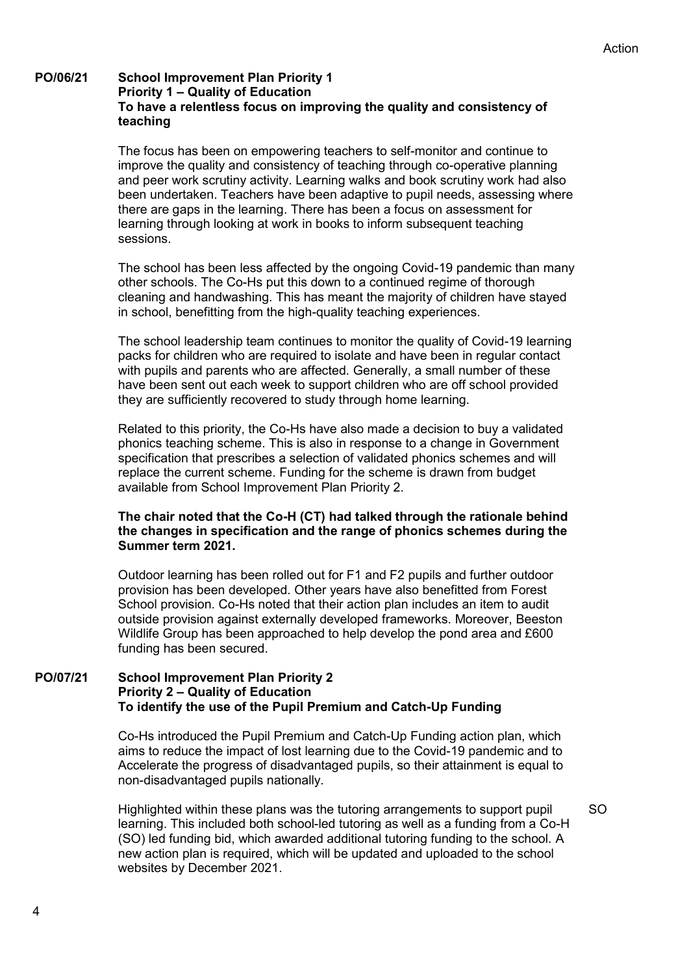### **PO/06/21 School Improvement Plan Priority 1 Priority 1 – Quality of Education To have a relentless focus on improving the quality and consistency of teaching**

The focus has been on empowering teachers to self-monitor and continue to improve the quality and consistency of teaching through co-operative planning and peer work scrutiny activity. Learning walks and book scrutiny work had also been undertaken. Teachers have been adaptive to pupil needs, assessing where there are gaps in the learning. There has been a focus on assessment for learning through looking at work in books to inform subsequent teaching sessions.

The school has been less affected by the ongoing Covid-19 pandemic than many other schools. The Co-Hs put this down to a continued regime of thorough cleaning and handwashing. This has meant the majority of children have stayed in school, benefitting from the high-quality teaching experiences.

The school leadership team continues to monitor the quality of Covid-19 learning packs for children who are required to isolate and have been in regular contact with pupils and parents who are affected. Generally, a small number of these have been sent out each week to support children who are off school provided they are sufficiently recovered to study through home learning.

Related to this priority, the Co-Hs have also made a decision to buy a validated phonics teaching scheme. This is also in response to a change in Government specification that prescribes a selection of validated phonics schemes and will replace the current scheme. Funding for the scheme is drawn from budget available from School Improvement Plan Priority 2.

### **The chair noted that the Co-H (CT) had talked through the rationale behind the changes in specification and the range of phonics schemes during the Summer term 2021.**

Outdoor learning has been rolled out for F1 and F2 pupils and further outdoor provision has been developed. Other years have also benefitted from Forest School provision. Co-Hs noted that their action plan includes an item to audit outside provision against externally developed frameworks. Moreover, Beeston Wildlife Group has been approached to help develop the pond area and £600 funding has been secured.

### **PO/07/21 School Improvement Plan Priority 2 Priority 2 – Quality of Education To identify the use of the Pupil Premium and Catch-Up Funding**

Co-Hs introduced the Pupil Premium and Catch-Up Funding action plan, which aims to reduce the impact of lost learning due to the Covid-19 pandemic and to Accelerate the progress of disadvantaged pupils, so their attainment is equal to non-disadvantaged pupils nationally.

Highlighted within these plans was the tutoring arrangements to support pupil learning. This included both school-led tutoring as well as a funding from a Co-H (SO) led funding bid, which awarded additional tutoring funding to the school. A new action plan is required, which will be updated and uploaded to the school websites by December 2021.  $SO$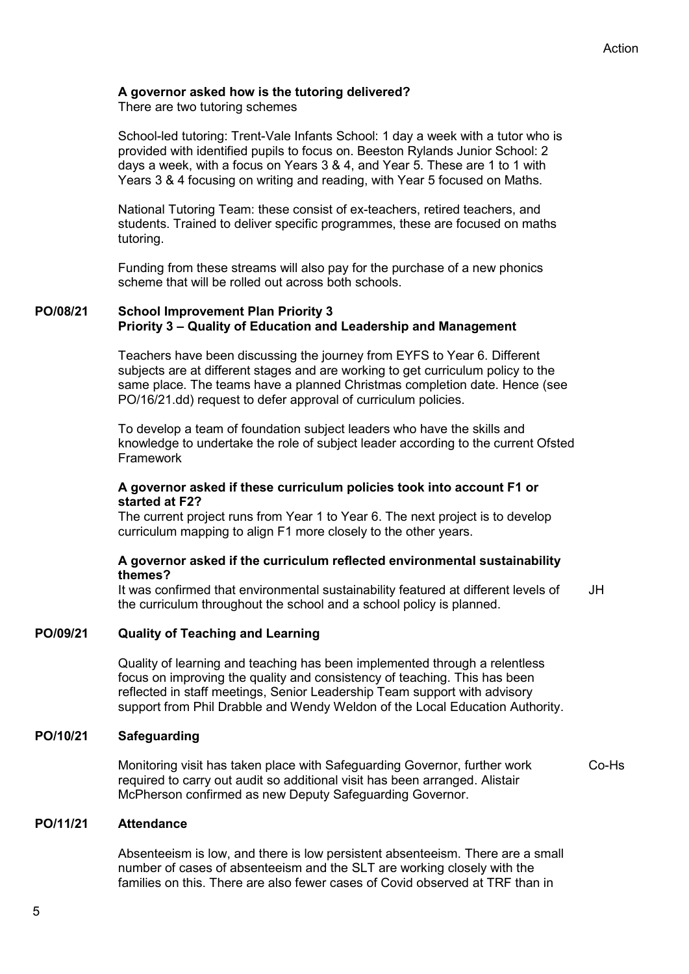### **A governor asked how is the tutoring delivered?**

There are two tutoring schemes

School-led tutoring: Trent-Vale Infants School: 1 day a week with a tutor who is provided with identified pupils to focus on. Beeston Rylands Junior School: 2 days a week, with a focus on Years 3 & 4, and Year 5. These are 1 to 1 with Years 3 & 4 focusing on writing and reading, with Year 5 focused on Maths.

National Tutoring Team: these consist of ex-teachers, retired teachers, and students. Trained to deliver specific programmes, these are focused on maths tutoring.

Funding from these streams will also pay for the purchase of a new phonics scheme that will be rolled out across both schools.

### **PO/08/21 School Improvement Plan Priority 3 Priority 3 – Quality of Education and Leadership and Management**

Teachers have been discussing the journey from EYFS to Year 6. Different subjects are at different stages and are working to get curriculum policy to the same place. The teams have a planned Christmas completion date. Hence (see PO/16/21.dd) request to defer approval of curriculum policies.

To develop a team of foundation subject leaders who have the skills and knowledge to undertake the role of subject leader according to the current Ofsted Framework

### **A governor asked if these curriculum policies took into account F1 or started at F2?**

The current project runs from Year 1 to Year 6. The next project is to develop curriculum mapping to align F1 more closely to the other years.

### **A governor asked if the curriculum reflected environmental sustainability themes?**

It was confirmed that environmental sustainability featured at different levels of the curriculum throughout the school and a school policy is planned. JH

### **PO/09/21 Quality of Teaching and Learning**

Quality of learning and teaching has been implemented through a relentless focus on improving the quality and consistency of teaching. This has been reflected in staff meetings, Senior Leadership Team support with advisory support from Phil Drabble and Wendy Weldon of the Local Education Authority.

#### **PO/10/21 Safeguarding**

Monitoring visit has taken place with Safeguarding Governor, further work required to carry out audit so additional visit has been arranged. Alistair McPherson confirmed as new Deputy Safeguarding Governor.

### Co-Hs

### **PO/11/21 Attendance**

Absenteeism is low, and there is low persistent absenteeism. There are a small number of cases of absenteeism and the SLT are working closely with the families on this. There are also fewer cases of Covid observed at TRF than in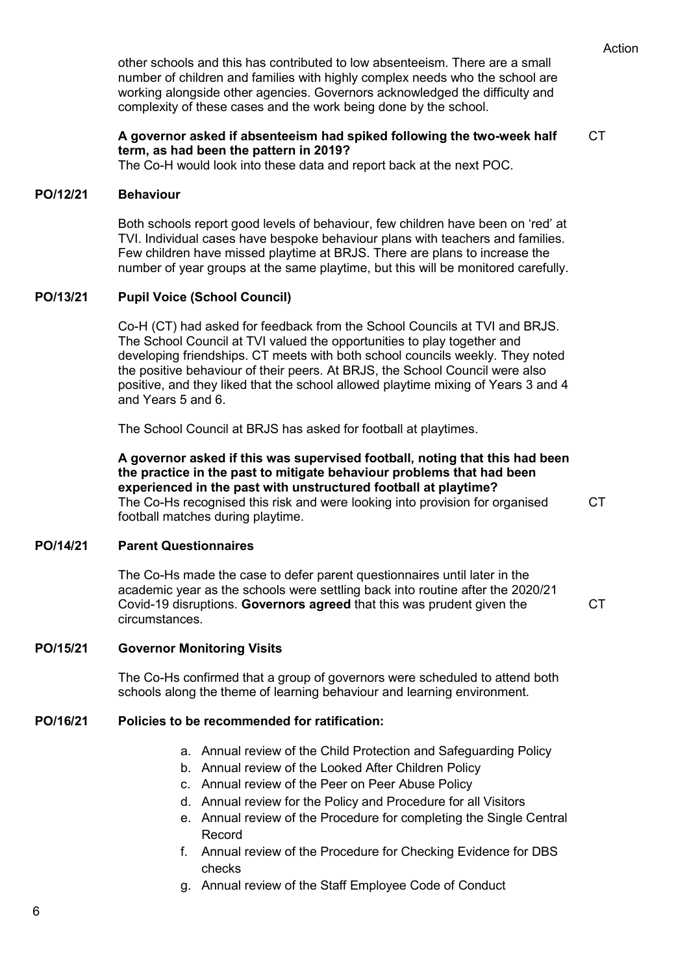other schools and this has contributed to low absenteeism. There are a small number of children and families with highly complex needs who the school are working alongside other agencies. Governors acknowledged the difficulty and complexity of these cases and the work being done by the school.

### **A governor asked if absenteeism had spiked following the two-week half term, as had been the pattern in 2019?**

CT

C<sub>T</sub>

The Co-H would look into these data and report back at the next POC.

#### **PO/12/21 Behaviour**

Both schools report good levels of behaviour, few children have been on 'red' at TVI. Individual cases have bespoke behaviour plans with teachers and families. Few children have missed playtime at BRJS. There are plans to increase the number of year groups at the same playtime, but this will be monitored carefully.

### **PO/13/21 Pupil Voice (School Council)**

Co-H (CT) had asked for feedback from the School Councils at TVI and BRJS. The School Council at TVI valued the opportunities to play together and developing friendships. CT meets with both school councils weekly. They noted the positive behaviour of their peers. At BRJS, the School Council were also positive, and they liked that the school allowed playtime mixing of Years 3 and 4 and Years 5 and 6.

The School Council at BRJS has asked for football at playtimes.

**A governor asked if this was supervised football, noting that this had been the practice in the past to mitigate behaviour problems that had been experienced in the past with unstructured football at playtime?** The Co-Hs recognised this risk and were looking into provision for organised football matches during playtime.

### **PO/14/21 Parent Questionnaires**

The Co-Hs made the case to defer parent questionnaires until later in the academic year as the schools were settling back into routine after the 2020/21 Covid-19 disruptions. **Governors agreed** that this was prudent given the circumstances. CT

### **PO/15/21 Governor Monitoring Visits**

The Co-Hs confirmed that a group of governors were scheduled to attend both schools along the theme of learning behaviour and learning environment.

#### **PO/16/21 Policies to be recommended for ratification:**

- a. Annual review of the Child Protection and Safeguarding Policy
- b. Annual review of the Looked After Children Policy
- c. Annual review of the Peer on Peer Abuse Policy
- d. Annual review for the Policy and Procedure for all Visitors
- e. Annual review of the Procedure for completing the Single Central Record
- f. Annual review of the Procedure for Checking Evidence for DBS checks
- g. Annual review of the Staff Employee Code of Conduct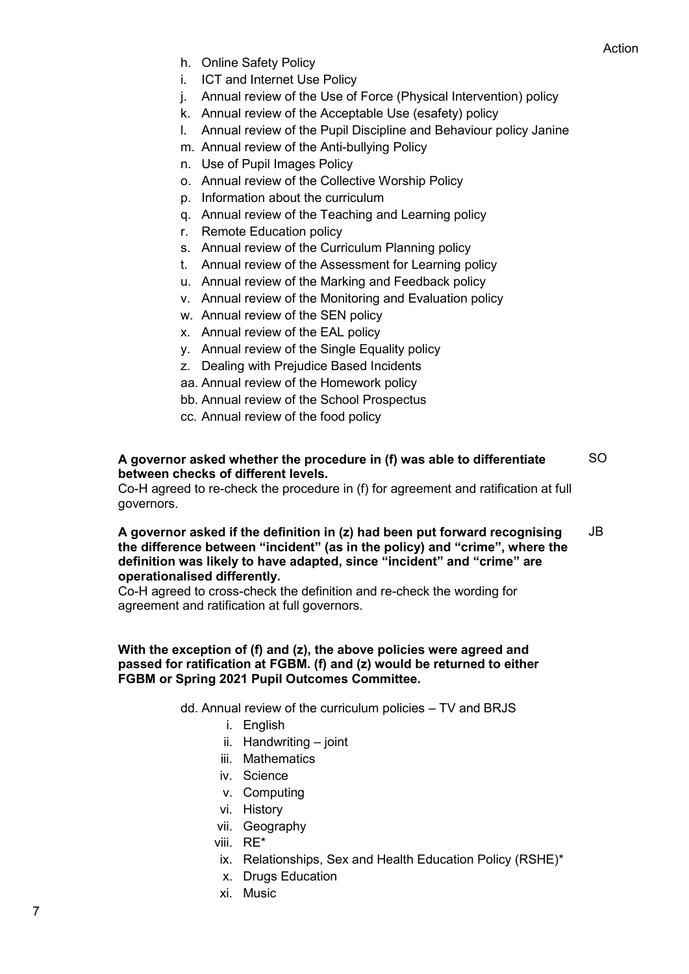- h. Online Safety Policy
- i. ICT and Internet Use Policy
- j. Annual review of the Use of Force (Physical Intervention) policy
- k. Annual review of the Acceptable Use (esafety) policy
- l. Annual review of the Pupil Discipline and Behaviour policy Janine
- m. Annual review of the Anti-bullying Policy
- n. Use of Pupil Images Policy
- o. Annual review of the Collective Worship Policy
- p. Information about the curriculum
- q. Annual review of the Teaching and Learning policy
- r. Remote Education policy
- s. Annual review of the Curriculum Planning policy
- t. Annual review of the Assessment for Learning policy
- u. Annual review of the Marking and Feedback policy
- v. Annual review of the Monitoring and Evaluation policy
- w. Annual review of the SEN policy
- x. Annual review of the EAL policy
- y. Annual review of the Single Equality policy
- z. Dealing with Prejudice Based Incidents
- aa. Annual review of the Homework policy
- bb. Annual review of the School Prospectus
- cc. Annual review of the food policy

#### **A governor asked whether the procedure in (f) was able to differentiate between checks of different levels.**  SO

Co-H agreed to re-check the procedure in (f) for agreement and ratification at full governors.

#### **A governor asked if the definition in (z) had been put forward recognising the difference between "incident" (as in the policy) and "crime", where the definition was likely to have adapted, since "incident" and "crime" are operationalised differently.** JB

Co-H agreed to cross-check the definition and re-check the wording for agreement and ratification at full governors.

### **With the exception of (f) and (z), the above policies were agreed and passed for ratification at FGBM. (f) and (z) would be returned to either FGBM or Spring 2021 Pupil Outcomes Committee.**

dd. Annual review of the curriculum policies – TV and BRJS

- i. English
- ii. Handwriting joint
- iii. Mathematics
- iv. Science
- v. Computing
- vi. History
- vii. Geography
- viii. RE\*
- ix. Relationships, Sex and Health Education Policy (RSHE)\*
- x. Drugs Education
- xi. Music